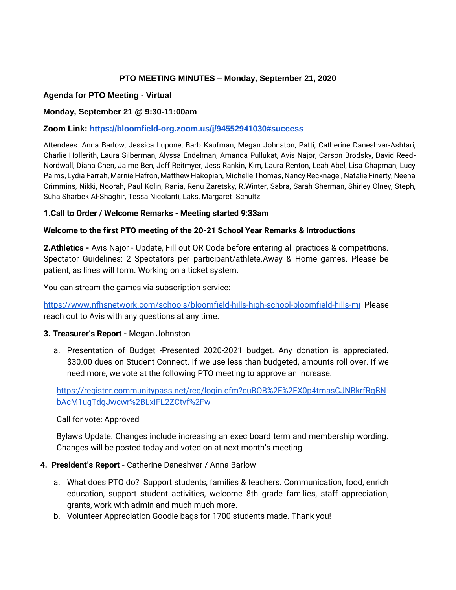# **PTO MEETING MINUTES – Monday, September 21, 2020**

## **Agenda for PTO Meeting - Virtual**

## **Monday, September 21 @ 9:30-11:00am**

## **Zoom Link: <https://bloomfield-org.zoom.us/j/94552941030#success>**

Attendees: Anna Barlow, Jessica Lupone, Barb Kaufman, Megan Johnston, Patti, Catherine Daneshvar-Ashtari, Charlie Hollerith, Laura Silberman, Alyssa Endelman, Amanda Pullukat, Avis Najor, Carson Brodsky, David Reed-Nordwall, Diana Chen, Jaime Ben, Jeff Reitmyer, Jess Rankin, Kim, Laura Renton, Leah Abel, Lisa Chapman, Lucy Palms, Lydia Farrah, Marnie Hafron, Matthew Hakopian, Michelle Thomas, Nancy Recknagel, Natalie Finerty, Neena Crimmins, Nikki, Noorah, Paul Kolin, Rania, Renu Zaretsky, R.Winter, Sabra, Sarah Sherman, Shirley Olney, Steph, Suha Sharbek Al-Shaghir, Tessa Nicolanti, Laks, Margaret Schultz

## **1.Call to Order / Welcome Remarks - Meeting started 9:33am**

## **Welcome to the first PTO meeting of the 20-21 School Year Remarks & Introductions**

**2.Athletics -** Avis Najor - Update, Fill out QR Code before entering all practices & competitions. Spectator Guidelines: 2 Spectators per participant/athlete.Away & Home games. Please be patient, as lines will form. Working on a ticket system.

You can stream the games via subscription service:

<https://www.nfhsnetwork.com/schools/bloomfield-hills-high-school-bloomfield-hills-mi>Please reach out to Avis with any questions at any time.

## **3. Treasurer's Report -** Megan Johnston

a. Presentation of Budget -Presented 2020-2021 budget. Any donation is appreciated. \$30.00 dues on Student Connect. If we use less than budgeted, amounts roll over. If we need more, we vote at the following PTO meeting to approve an increase.

[https://register.communitypass.net/reg/login.cfm?cuBOB%2F%2FX0p4trnasCJNBkrfRqBN](https://register.communitypass.net/reg/login.cfm?cuBOB%2F%2FX0p4trnasCJNBkrfRqBNbAcM1ugTdgJwcwr%2BLxIFL2ZCtvf%2Fw) [bAcM1ugTdgJwcwr%2BLxIFL2ZCtvf%2Fw](https://register.communitypass.net/reg/login.cfm?cuBOB%2F%2FX0p4trnasCJNBkrfRqBNbAcM1ugTdgJwcwr%2BLxIFL2ZCtvf%2Fw)

## Call for vote: Approved

Bylaws Update: Changes include increasing an exec board term and membership wording. Changes will be posted today and voted on at next month's meeting.

## **4. President's Report -** Catherine Daneshvar / Anna Barlow

- a. What does PTO do? Support students, families & teachers. Communication, food, enrich education, support student activities, welcome 8th grade families, staff appreciation, grants, work with admin and much much more.
- b. Volunteer Appreciation Goodie bags for 1700 students made. Thank you!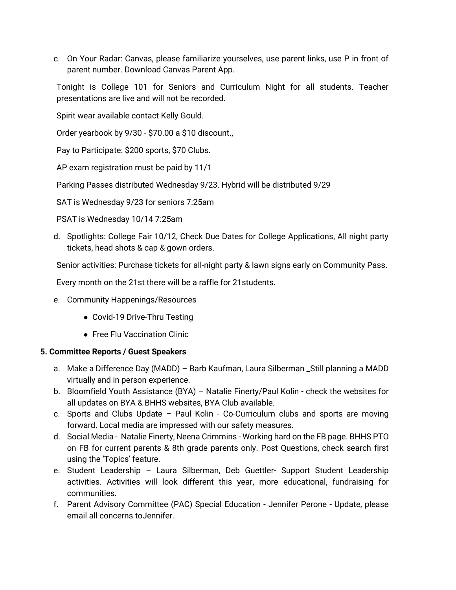c. On Your Radar: Canvas, please familiarize yourselves, use parent links, use P in front of parent number. Download Canvas Parent App.

Tonight is College 101 for Seniors and Curriculum Night for all students. Teacher presentations are live and will not be recorded.

Spirit wear available contact Kelly Gould.

Order yearbook by 9/30 - \$70.00 a \$10 discount.,

Pay to Participate: \$200 sports, \$70 Clubs.

AP exam registration must be paid by 11/1

Parking Passes distributed Wednesday 9/23. Hybrid will be distributed 9/29

SAT is Wednesday 9/23 for seniors 7:25am

PSAT is Wednesday 10/14 7:25am

d. Spotlights: College Fair 10/12, Check Due Dates for College Applications, All night party tickets, head shots & cap & gown orders.

Senior activities: Purchase tickets for all-night party & lawn signs early on Community Pass.

Every month on the 21st there will be a raffle for 21students.

- e. Community Happenings/Resources
	- Covid-19 Drive-Thru Testing
	- Free Flu Vaccination Clinic

# **5. Committee Reports / Guest Speakers**

- a. Make a Difference Day (MADD) Barb Kaufman, Laura Silberman \_Still planning a MADD virtually and in person experience.
- b. Bloomfield Youth Assistance (BYA) Natalie Finerty/Paul Kolin check the websites for all updates on BYA & BHHS websites, BYA Club available.
- c. Sports and Clubs Update Paul Kolin Co-Curriculum clubs and sports are moving forward. Local media are impressed with our safety measures.
- d. Social Media Natalie Finerty, Neena Crimmins Working hard on the FB page. BHHS PTO on FB for current parents & 8th grade parents only. Post Questions, check search first using the 'Topics' feature.
- e. Student Leadership Laura Silberman, Deb Guettler- Support Student Leadership activities. Activities will look different this year, more educational, fundraising for communities.
- f. Parent Advisory Committee (PAC) Special Education Jennifer Perone Update, please email all concerns toJennifer.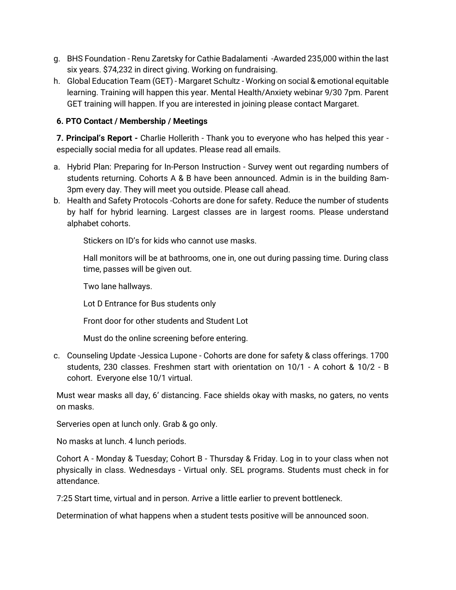- g. BHS Foundation Renu Zaretsky for Cathie Badalamenti -Awarded 235,000 within the last six years. \$74,232 in direct giving. Working on fundraising.
- h. Global Education Team (GET) Margaret Schultz Working on social & emotional equitable learning. Training will happen this year. Mental Health/Anxiety webinar 9/30 7pm. Parent GET training will happen. If you are interested in joining please contact Margaret.

# **6. PTO Contact / Membership / Meetings**

**7. Principal's Report -** Charlie Hollerith - Thank you to everyone who has helped this year especially social media for all updates. Please read all emails.

- a. Hybrid Plan: Preparing for In-Person Instruction Survey went out regarding numbers of students returning. Cohorts A & B have been announced. Admin is in the building 8am-3pm every day. They will meet you outside. Please call ahead.
- b. Health and Safety Protocols -Cohorts are done for safety. Reduce the number of students by half for hybrid learning. Largest classes are in largest rooms. Please understand alphabet cohorts.

Stickers on ID's for kids who cannot use masks.

Hall monitors will be at bathrooms, one in, one out during passing time. During class time, passes will be given out.

Two lane hallways.

Lot D Entrance for Bus students only

Front door for other students and Student Lot

Must do the online screening before entering.

c. Counseling Update -Jessica Lupone - Cohorts are done for safety & class offerings. 1700 students, 230 classes. Freshmen start with orientation on 10/1 - A cohort & 10/2 - B cohort. Everyone else 10/1 virtual.

Must wear masks all day, 6' distancing. Face shields okay with masks, no gaters, no vents on masks.

Serveries open at lunch only. Grab & go only.

No masks at lunch. 4 lunch periods.

Cohort A - Monday & Tuesday; Cohort B - Thursday & Friday. Log in to your class when not physically in class. Wednesdays - Virtual only. SEL programs. Students must check in for attendance.

7:25 Start time, virtual and in person. Arrive a little earlier to prevent bottleneck.

Determination of what happens when a student tests positive will be announced soon.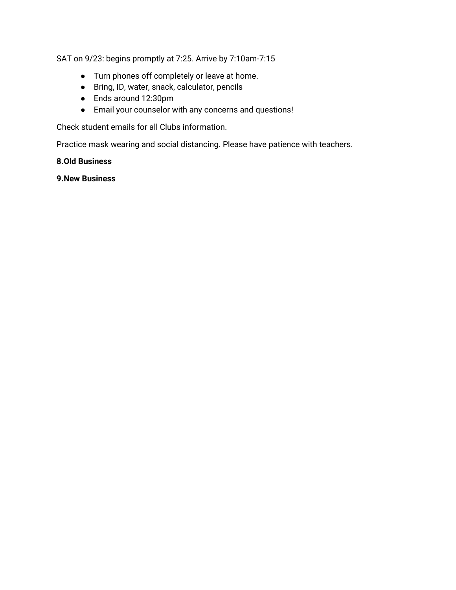SAT on 9/23: begins promptly at 7:25. Arrive by 7:10am-7:15

- Turn phones off completely or leave at home.
- Bring, ID, water, snack, calculator, pencils
- Ends around 12:30pm
- Email your counselor with any concerns and questions!

Check student emails for all Clubs information.

Practice mask wearing and social distancing. Please have patience with teachers.

# **8.Old Business**

## **9.New Business**